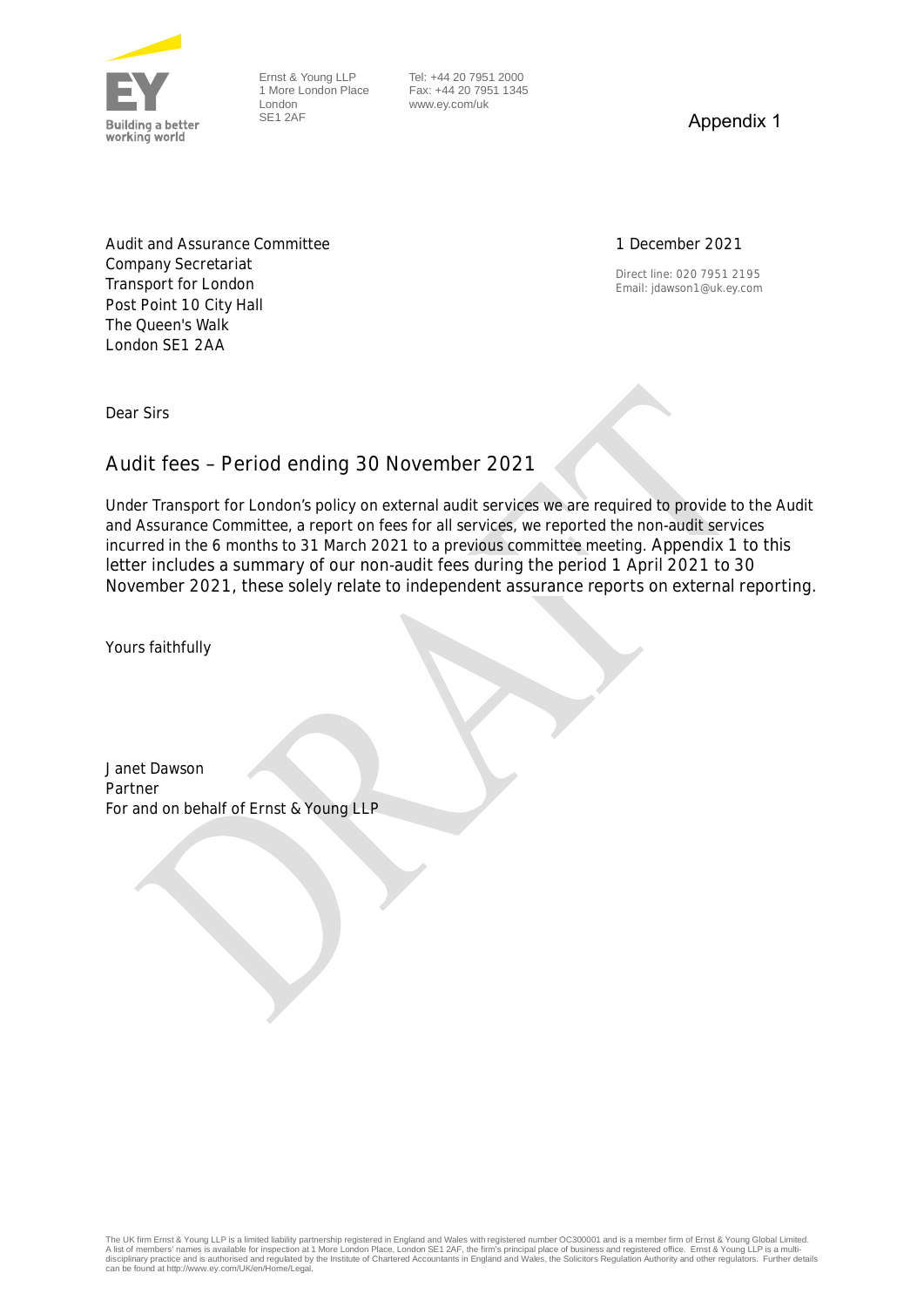

Ernst & Young LLP 1 More London Place London SE1 2AF

 Tel: +44 20 7951 2000 Fax: +44 20 7951 1345 www.ey.com/uk

Appendix 1

## 1 December 2021

Direct line: 020 7951 2195 Email: jdawson1@uk.ey.com

Audit and Assurance Committee Company Secretariat Transport for London Post Point 10 City Hall The Queen's Walk London SE1 2AA

Dear Sirs

## **Audit fees – Period ending 30 November 2021**

Under Transport for London's policy on external audit services we are required to provide to the Audit and Assurance Committee, a report on fees for all services, we reported the non-audit services incurred in the 6 months to 31 March 2021 to a previous committee meeting. Appendix 1 to this letter includes a summary of our non-audit fees during the period 1 April 2021 to 30 November 2021, these solely relate to independent assurance reports on external reporting.

Yours faithfully

Janet Dawson Partner For and on behalf of Ernst & Young LLP